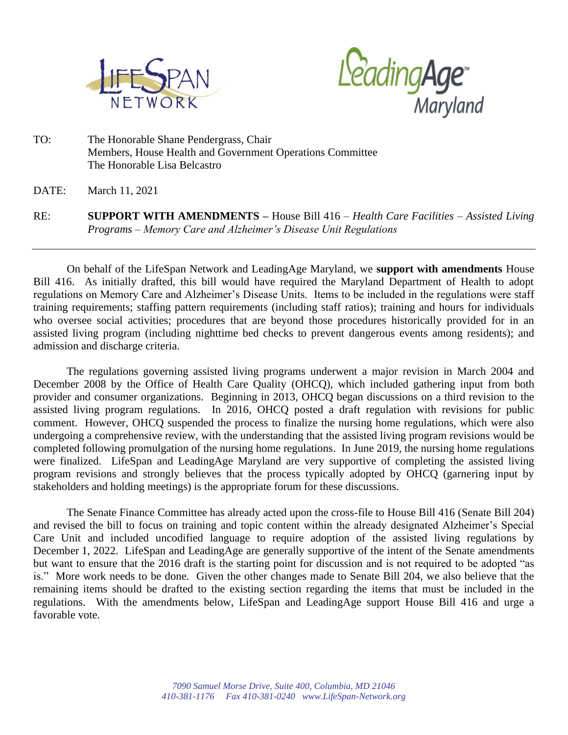



TO: The Honorable Shane Pendergrass, Chair Members, House Health and Government Operations Committee The Honorable Lisa Belcastro

DATE: March 11, 2021

RE: **SUPPORT WITH AMENDMENTS –** House Bill 416 *– Health Care Facilities – Assisted Living Programs – Memory Care and Alzheimer's Disease Unit Regulations*

On behalf of the LifeSpan Network and LeadingAge Maryland, we **support with amendments** House Bill 416. As initially drafted, this bill would have required the Maryland Department of Health to adopt regulations on Memory Care and Alzheimer's Disease Units. Items to be included in the regulations were staff training requirements; staffing pattern requirements (including staff ratios); training and hours for individuals who oversee social activities; procedures that are beyond those procedures historically provided for in an assisted living program (including nighttime bed checks to prevent dangerous events among residents); and admission and discharge criteria.

The regulations governing assisted living programs underwent a major revision in March 2004 and December 2008 by the Office of Health Care Quality (OHCQ), which included gathering input from both provider and consumer organizations. Beginning in 2013, OHCQ began discussions on a third revision to the assisted living program regulations. In 2016, OHCQ posted a draft regulation with revisions for public comment. However, OHCQ suspended the process to finalize the nursing home regulations, which were also undergoing a comprehensive review, with the understanding that the assisted living program revisions would be completed following promulgation of the nursing home regulations. In June 2019, the nursing home regulations were finalized. LifeSpan and LeadingAge Maryland are very supportive of completing the assisted living program revisions and strongly believes that the process typically adopted by OHCQ (garnering input by stakeholders and holding meetings) is the appropriate forum for these discussions.

The Senate Finance Committee has already acted upon the cross-file to House Bill 416 (Senate Bill 204) and revised the bill to focus on training and topic content within the already designated Alzheimer's Special Care Unit and included uncodified language to require adoption of the assisted living regulations by December 1, 2022. LifeSpan and LeadingAge are generally supportive of the intent of the Senate amendments but want to ensure that the 2016 draft is the starting point for discussion and is not required to be adopted "as is." More work needs to be done. Given the other changes made to Senate Bill 204, we also believe that the remaining items should be drafted to the existing section regarding the items that must be included in the regulations. With the amendments below, LifeSpan and LeadingAge support House Bill 416 and urge a favorable vote.